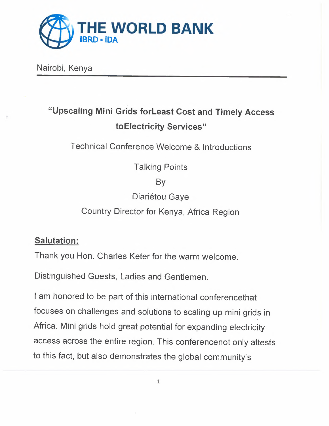

Nairobi, Kenya

# "Upscaling Mini Grids forLeast Cost and Timely Access toElectricity Services"

Technical Conference Welcome & Introductions

Talking Points

By

Diariétou Gaye

Country Director for Kenya, Africa Region

## Salutation:

Thank you Hon. Charles Keter for the warm welcome.

Distinguished Guests, Ladies and Gentlemen.

I am honored to be part of this international conferencethat focuses on challenges and solutions to scaling up mini grids in Africa. Mini grids hold great potential for expanding electricity access across the entire region. This conferencenot only attests to this fact, but also demonstrates the global community's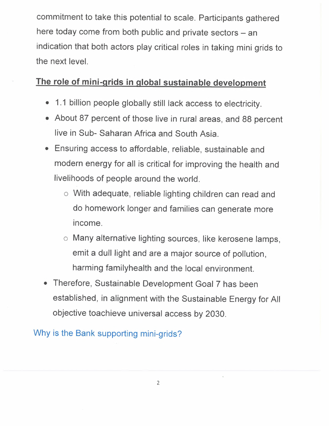commitment to take this potential to scale. Participants gathered here today come from both public and private sectors - an indication that both actors play critical roles in taking mini grids to the next level.

#### **The role of mini-grids in global sustainable development**

- 1.1 billion people globally still lack access to electricity.
- About 87 percent of those live in rural areas, and 88 percent live in Sub- Saharan Africa and South Asia.
- Ensuring access to affordable, reliable, sustainable and modern energy for all is critical for improving the health and livelihoods of people around the world.
	- o With adequate, reliable lighting children can read and do homework longer and families can generate more Income.
	- o Many alternative lighting sources, like kerosene lamps, emit a dull light and are a major source of pollution, harming familyhealth and the local environment.
- Therefore, Sustainable Development Goal 7 has been established, in alignment with the Sustainable Energy for All objective toachieve universal access by 2030.

Why is the Bank supporting mini-grids?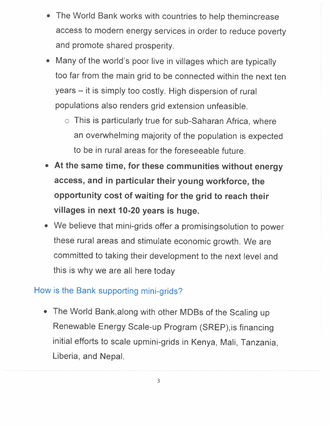- The World Bank works with countries to help themincrease access to modern energy services in order to reduce poverty and promote shared prosperity.
- Many of the world's poor live in villages which are typically too far from the main grid to be connected within the next ten years - it is simply too costly. High dispersion of rural populations also renders grid extension unfeasible.
	- o This is particularly true for sub-Saharan Africa, where an overwhelming majority of the population is expected to be in rural areas for the foreseeable future.
- At the same time, for these communities without energy access, and in particular their young workforce, the opportunity cost of waiting for the grid to reach their villages in next 10-20 years is huge.
- We believe that mini-grids offer a promisingsolution to power these rural areas and stimulate economic growth. We are committed to taking their development to the next level and this is why we are all here today

## How is the Bank supporting mini-grids?

• The World Bank,along with other MOBs of the Scaling up Renewable Energy Scale-up Program (SREP),is financing initial efforts to scale upmini-grids in Kenya, Mali, Tanzania, Liberia, and Nepal.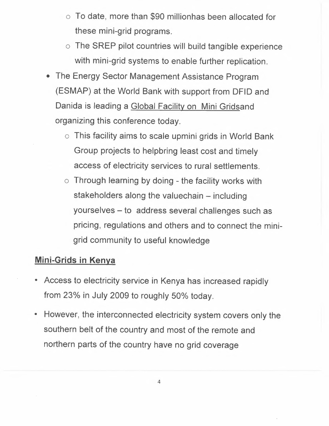- o To date, more than \$90 millionhas been allocated for these mini-grid programs.
- o The SREP pilot countries will build tangible experience with mini-grid systems to enable further replication.
- The Energy Sector Management Assistance Program (ESMAP) at the World Bank with support from OFIO and Danida is leading a Global Facility on Mini Gridsand organizing this conference today.
	- o This facility aims to scale upmini grids in World Bank Group projects to helpbring least cost and timely access of electricity services to rural settlements.
	- o Through learning by doing the facility works with stakeholders along the valuechain – including yourselves - to address several challenges such as pricing, regulations and others and to connect the minigrid community to useful knowledge

#### **Mini-Grids in Kenya**

- Access to electricity service in Kenya has increased rapidly from  $23\%$  in July 2009 to roughly 50% today.
- However, the interconnected electricity system covers only the southern belt of the country and most of the remote and northern parts of the country have no grid coverage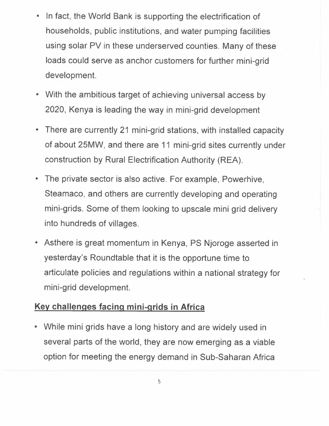- In fact, the World Bank is supporting the electrification of households, public institutions, and water pumping facilities using solar PV in these underserved counties. Many of these loads could serve as anchor customers for further mini-grid development.
- With the ambitious target of achieving universal access by 2020, Kenya is leading the way in mini-grid development
- There are currently 21 mini-grid stations, with installed capacity of about 25MW, and there are 11 mini-grid sites currently under construction by Rural Electrification Authority (REA).
- The private sector is also active. For example, Powerhive, Steamaco, and others are currently developing and operating mini-grids. Some of them looking to upscale mini grid delivery into hundreds of villages.
- Asthere is great momentum in Kenya, PS Njoroge asserted in yesterday's Roundtable that it is the opportune time to articulate policies and regulations within a national strategy for mini-grid development.

#### **Key challenges facing mini-grids in Africa**

• While mini grids have a long history and are widely used in several parts of the world, they are now emerging as a viable option for meeting the energy demand in Sub-Saharan Africa